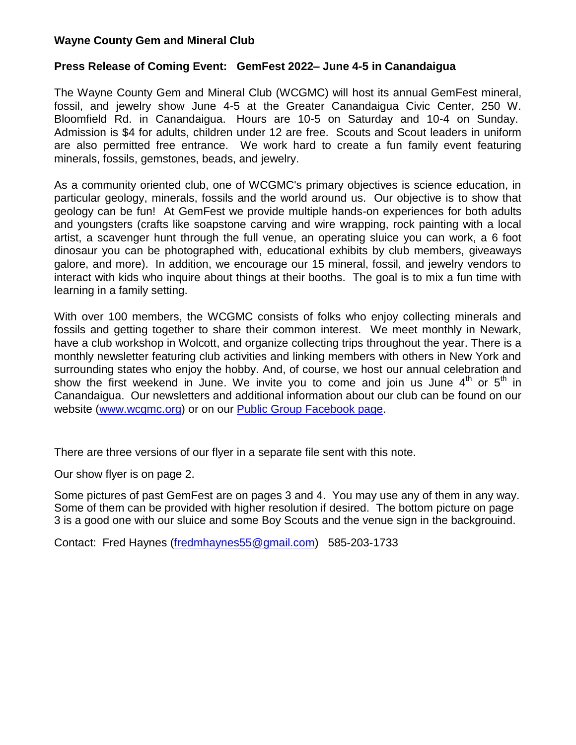## **Wayne County Gem and Mineral Club**

## **Press Release of Coming Event: GemFest 2022– June 4-5 in Canandaigua**

The Wayne County Gem and Mineral Club (WCGMC) will host its annual GemFest mineral, fossil, and jewelry show June 4-5 at the Greater Canandaigua Civic Center, 250 W. Bloomfield Rd. in Canandaigua. Hours are 10-5 on Saturday and 10-4 on Sunday. Admission is \$4 for adults, children under 12 are free. Scouts and Scout leaders in uniform are also permitted free entrance. We work hard to create a fun family event featuring minerals, fossils, gemstones, beads, and jewelry.

As a community oriented club, one of WCGMC's primary objectives is science education, in particular geology, minerals, fossils and the world around us. Our objective is to show that geology can be fun! At GemFest we provide multiple hands-on experiences for both adults and youngsters (crafts like soapstone carving and wire wrapping, rock painting with a local artist, a scavenger hunt through the full venue, an operating sluice you can work, a 6 foot dinosaur you can be photographed with, educational exhibits by club members, giveaways galore, and more). In addition, we encourage our 15 mineral, fossil, and jewelry vendors to interact with kids who inquire about things at their booths. The goal is to mix a fun time with learning in a family setting.

With over 100 members, the WCGMC consists of folks who enjoy collecting minerals and fossils and getting together to share their common interest. We meet monthly in Newark, have a club workshop in Wolcott, and organize collecting trips throughout the year. There is a monthly newsletter featuring club activities and linking members with others in New York and surrounding states who enjoy the hobby. And, of course, we host our annual celebration and show the first weekend in June. We invite you to come and join us June  $4<sup>th</sup>$  or  $5<sup>th</sup>$  in Canandaigua. Our newsletters and additional information about our club can be found on our website [\(www.wcgmc.org\)](http://www.wcgmc.org/) or on our [Public Group Facebook page.](https://www.facebook.com/groups/1675855046010058/?ref=bookmarks)

There are three versions of our flyer in a separate file sent with this note.

Our show flyer is on page 2.

Some pictures of past GemFest are on pages 3 and 4. You may use any of them in any way. Some of them can be provided with higher resolution if desired. The bottom picture on page 3 is a good one with our sluice and some Boy Scouts and the venue sign in the backgrouind.

Contact: Fred Haynes [\(fredmhaynes55@gmail.com\)](mailto:fredmhaynes55@gmail.com) 585-203-1733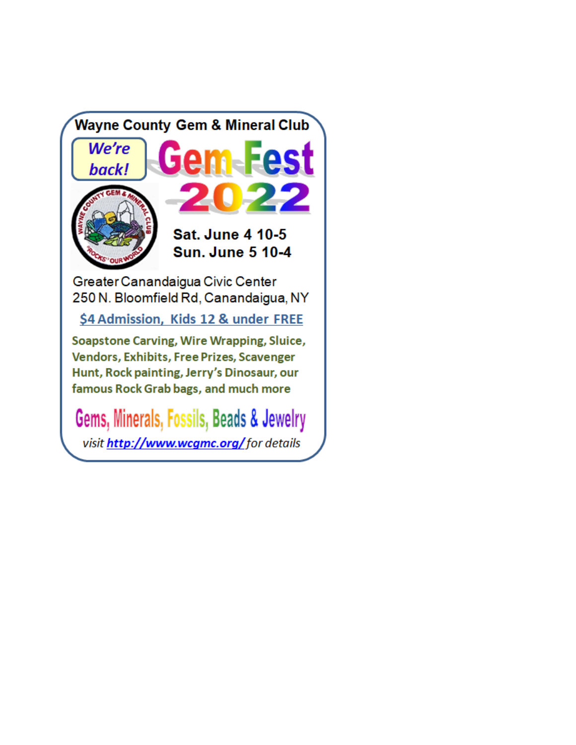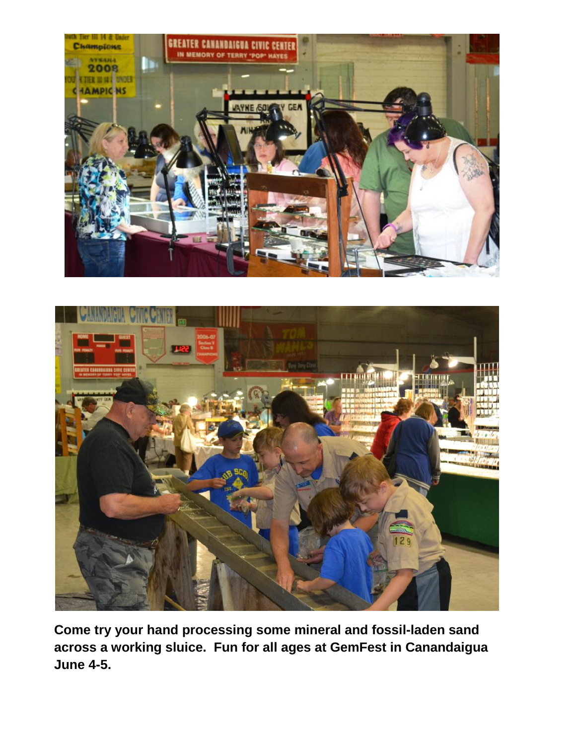



**Come try your hand processing some mineral and fossil-laden sand across a working sluice. Fun for all ages at GemFest in Canandaigua June 4-5.**